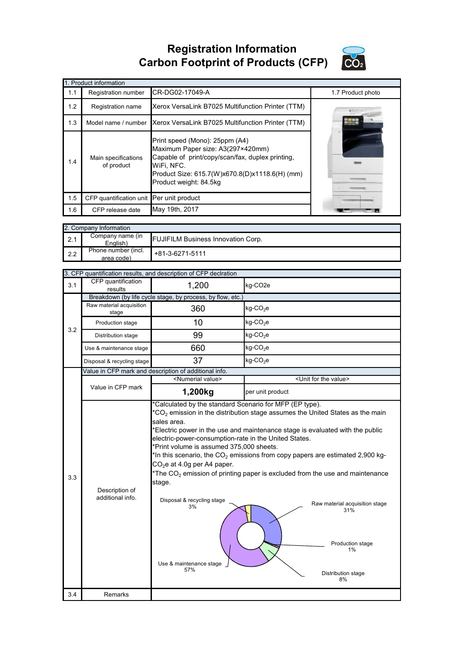**Registration Information Carbon Footprint of Products (CFP)**



|     | 1. Product information                   |                                                                                                                                                                                                                   |                   |  |  |  |
|-----|------------------------------------------|-------------------------------------------------------------------------------------------------------------------------------------------------------------------------------------------------------------------|-------------------|--|--|--|
| 1.1 | Registration number                      | CR-DG02-17049-A                                                                                                                                                                                                   | 1.7 Product photo |  |  |  |
| 1.2 | Registration name                        | Xerox VersaLink B7025 Multifunction Printer (TTM)                                                                                                                                                                 |                   |  |  |  |
| 1.3 | Model name / number                      | Xerox VersaLink B7025 Multifunction Printer (TTM)                                                                                                                                                                 | <b>BOTHE</b>      |  |  |  |
| 1.4 | Main specifications<br>of product        | Print speed (Mono): 25ppm (A4)<br>Maximum Paper size: A3(297×420mm)<br>Capable of print/copy/scan/fax, duplex printing,<br>WiFi, NFC.<br>Product Size: 615.7(W)x670.8(D)x1118.6(H) (mm)<br>Product weight: 84.5kg |                   |  |  |  |
| 1.5 | CFP quantification unit Per unit product |                                                                                                                                                                                                                   |                   |  |  |  |
| 1.6 | CFP release date                         | May 19th, 2017                                                                                                                                                                                                    |                   |  |  |  |

|     | 2. Company Information            |                                           |  |  |  |
|-----|-----------------------------------|-------------------------------------------|--|--|--|
| 2.1 | Company name (in<br>English)      | <b>FUJIFILM Business Innovation Corp.</b> |  |  |  |
| 2.2 | Phone number (incl.<br>area code) | $+81-3-6271-5111$                         |  |  |  |

|     |                                    | 3. CFP quantification results, and description of CFP declration                                                                                                                                                                                                                            |                                                                                                                                                                                                                                                                                                                                                                                                                                                             |  |
|-----|------------------------------------|---------------------------------------------------------------------------------------------------------------------------------------------------------------------------------------------------------------------------------------------------------------------------------------------|-------------------------------------------------------------------------------------------------------------------------------------------------------------------------------------------------------------------------------------------------------------------------------------------------------------------------------------------------------------------------------------------------------------------------------------------------------------|--|
| 3.1 | CFP quantification<br>results      | 1,200                                                                                                                                                                                                                                                                                       | kg-CO2e                                                                                                                                                                                                                                                                                                                                                                                                                                                     |  |
|     |                                    | Breakdown (by life cycle stage, by process, by flow, etc.)                                                                                                                                                                                                                                  |                                                                                                                                                                                                                                                                                                                                                                                                                                                             |  |
|     | Raw material acquisition<br>stage  | 360                                                                                                                                                                                                                                                                                         | $kg$ -CO <sub>2</sub> e                                                                                                                                                                                                                                                                                                                                                                                                                                     |  |
| 3.2 | Production stage                   | 10                                                                                                                                                                                                                                                                                          | kg-CO <sub>2</sub> e                                                                                                                                                                                                                                                                                                                                                                                                                                        |  |
|     | Distribution stage                 | 99                                                                                                                                                                                                                                                                                          | kg-CO <sub>2</sub> e                                                                                                                                                                                                                                                                                                                                                                                                                                        |  |
|     | Use & maintenance stage            | 660                                                                                                                                                                                                                                                                                         | $kg$ -CO <sub>2</sub> e                                                                                                                                                                                                                                                                                                                                                                                                                                     |  |
|     | Disposal & recycling stage         | 37                                                                                                                                                                                                                                                                                          | $kg$ -CO <sub>2</sub> e                                                                                                                                                                                                                                                                                                                                                                                                                                     |  |
|     |                                    | Value in CFP mark and description of additional info.                                                                                                                                                                                                                                       |                                                                                                                                                                                                                                                                                                                                                                                                                                                             |  |
|     |                                    | <numerial value=""></numerial>                                                                                                                                                                                                                                                              | <unit for="" the="" value=""></unit>                                                                                                                                                                                                                                                                                                                                                                                                                        |  |
|     | Value in CFP mark                  | 1,200kg                                                                                                                                                                                                                                                                                     | per unit product                                                                                                                                                                                                                                                                                                                                                                                                                                            |  |
| 3.3 | Description of<br>additional info. | *Calculated by the standard Scenario for MFP (EP type).<br>sales area.<br>electric-power-consumption-rate in the United States.<br>*Print volume is assumed 375,000 sheets.<br>$CO2e$ at 4.0g per A4 paper.<br>stage.<br>Disposal & recycling stage<br>3%<br>Use & maintenance stage<br>57% | $*$ CO <sub>2</sub> emission in the distribution stage assumes the United States as the main<br>*Electric power in the use and maintenance stage is evaluated with the public<br>*In this scenario, the $CO2$ emissions from copy papers are estimated 2,900 kg-<br>*The CO <sub>2</sub> emission of printing paper is excluded from the use and maintenance<br>Raw material acquisition stage<br>31%<br>Production stage<br>1%<br>Distribution stage<br>8% |  |
| 3.4 | Remarks                            |                                                                                                                                                                                                                                                                                             |                                                                                                                                                                                                                                                                                                                                                                                                                                                             |  |